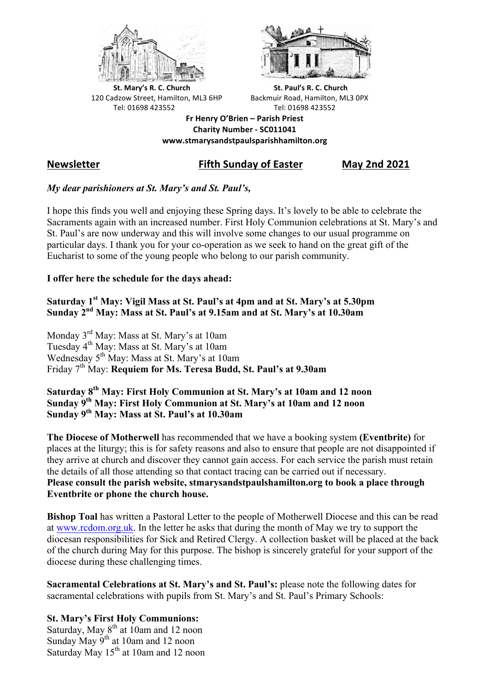



**St.** Mary's R. C. Church St. Paul's R. C. Church 120 Cadzow Street, Hamilton, ML3 6HP Backmuir Road, Hamilton, ML3 0PX Tel: 01698 423552 Tel: 01698 423552

**Fr Henry O'Brien – Parish Priest Charity Number - SC011041 www.stmarysandstpaulsparishhamilton.org**

# **Newsletter Fifth Sunday of Easter May 2nd 2021**

## *My dear parishioners at St. Mary's and St. Paul's,*

I hope this finds you well and enjoying these Spring days. It's lovely to be able to celebrate the Sacraments again with an increased number. First Holy Communion celebrations at St. Mary's and St. Paul's are now underway and this will involve some changes to our usual programme on particular days. I thank you for your co-operation as we seek to hand on the great gift of the Eucharist to some of the young people who belong to our parish community.

### **I offer here the schedule for the days ahead:**

**Saturday 1st May: Vigil Mass at St. Paul's at 4pm and at St. Mary's at 5.30pm Sunday 2nd May: Mass at St. Paul's at 9.15am and at St. Mary's at 10.30am**

Monday 3rd May: Mass at St. Mary's at 10am Tuesday 4<sup>th</sup> May: Mass at St. Mary's at 10am Wednesday 5<sup>th</sup> May: Mass at St. Mary's at 10am Friday 7th May: **Requiem for Ms. Teresa Budd, St. Paul's at 9.30am**

**Saturday 8th May: First Holy Communion at St. Mary's at 10am and 12 noon Sunday 9th May: First Holy Communion at St. Mary's at 10am and 12 noon Sunday 9th May: Mass at St. Paul's at 10.30am**

**The Diocese of Motherwell** has recommended that we have a booking system **(Eventbrite)** for places at the liturgy; this is for safety reasons and also to ensure that people are not disappointed if they arrive at church and discover they cannot gain access. For each service the parish must retain the details of all those attending so that contact tracing can be carried out if necessary. **Please consult the parish website, stmarysandstpaulshamilton.org to book a place through Eventbrite or phone the church house.**

**Bishop Toal** has written a Pastoral Letter to the people of Motherwell Diocese and this can be read at www.rcdom.org.uk. In the letter he asks that during the month of May we try to support the diocesan responsibilities for Sick and Retired Clergy. A collection basket will be placed at the back of the church during May for this purpose. The bishop is sincerely grateful for your support of the diocese during these challenging times.

**Sacramental Celebrations at St. Mary's and St. Paul's:** please note the following dates for sacramental celebrations with pupils from St. Mary's and St. Paul's Primary Schools:

### **St. Mary's First Holy Communions:**

Saturday, May  $8<sup>th</sup>$  at 10am and 12 noon Sunday May  $9^{th}$  at 10am and 12 noon Saturday May 15<sup>th</sup> at 10am and 12 noon